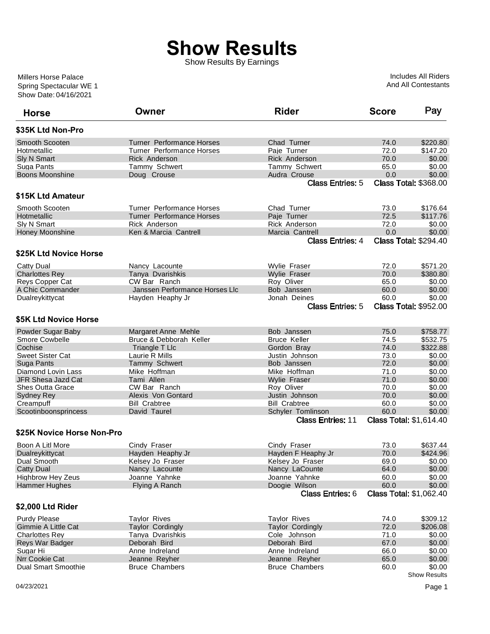## **Show Results**

Show Results By Earnings

Show Date: 04/16/2021 Spring Spectacular WE 1 Millers Horse Palace

Includes All Riders And All Contestants

| <b>Horse</b>               | Owner                            | <b>Rider</b>             | <b>Score</b> | Pay                            |
|----------------------------|----------------------------------|--------------------------|--------------|--------------------------------|
| \$35K Ltd Non-Pro          |                                  |                          |              |                                |
| Smooth Scooten             | <b>Turner Performance Horses</b> | Chad Turner              | 74.0         | \$220.80                       |
| Hotmetallic                | <b>Turner Performance Horses</b> | Paje Turner              | 72.0         | \$147.20                       |
| Sly N Smart                | <b>Rick Anderson</b>             | <b>Rick Anderson</b>     | 70.0         | \$0.00                         |
| Suga Pants                 | Tammy Schwert                    | Tammy Schwert            | 65.0         | \$0.00                         |
| Boons Moonshine            | Doug Crouse                      | Audra Crouse             | 0.0          | \$0.00                         |
|                            |                                  | <b>Class Entries: 5</b>  |              | <b>Class Total: \$368.00</b>   |
| \$15K Ltd Amateur          |                                  |                          |              |                                |
| Smooth Scooten             | Turner Performance Horses        | Chad Turner              | 73.0         | \$176.64                       |
| Hotmetallic                | <b>Turner Performance Horses</b> | Paje Turner              | 72.5         | \$117.76                       |
| Sly N Smart                | Rick Anderson                    | <b>Rick Anderson</b>     | 72.0         | \$0.00                         |
| Honey Moonshine            | Ken & Marcia Cantrell            | Marcia Cantrell          | 0.0          | \$0.00                         |
|                            |                                  | <b>Class Entries: 4</b>  |              | <b>Class Total: \$294.40</b>   |
| \$25K Ltd Novice Horse     |                                  |                          |              |                                |
| Catty Dual                 | Nancy Lacounte                   | Wylie Fraser             | 72.0         | \$571.20                       |
| <b>Charlottes Rey</b>      | Tanya Dvarishkis                 | <b>Wylie Fraser</b>      | 70.0         | \$380.80                       |
| Reys Copper Cat            | CW Bar Ranch                     | Rov Oliver               | 65.0         | \$0.00                         |
| A Chic Commander           | Janssen Performance Horses Llc   | Bob Janssen              | 60.0         | \$0.00                         |
| Dualreykittycat            | Hayden Heaphy Jr                 | Jonah Deines             | 60.0         | \$0.00                         |
|                            |                                  | <b>Class Entries: 5</b>  |              | <b>Class Total: \$952.00</b>   |
| \$5K Ltd Novice Horse      |                                  |                          |              |                                |
| Powder Sugar Baby          | Margaret Anne Mehle              | Bob Janssen              | 75.0         | \$758.77                       |
| Smore Cowbelle             | Bruce & Debborah Keller          | <b>Bruce Keller</b>      | 74.5         | \$532.75                       |
| Cochise                    | Triangle T Llc                   | Gordon Bray              | 74.0         | \$322.88                       |
| <b>Sweet Sister Cat</b>    | Laurie R Mills                   | Justin Johnson           | 73.0         | \$0.00                         |
| Suga Pants                 | Tammy Schwert                    | Bob Janssen              | 72.0         | \$0.00                         |
| Diamond Lovin Lass         | Mike Hoffman                     | Mike Hoffman             | 71.0         | \$0.00                         |
| JFR Shesa Jazd Cat         | Tami Allen                       | <b>Wylie Fraser</b>      | 71.0         | \$0.00                         |
| <b>Shes Outta Grace</b>    | CW Bar Ranch                     | Roy Oliver               | 70.0         | \$0.00                         |
| <b>Sydney Rey</b>          | Alexis Von Gontard               | Justin Johnson           | 70.0         | \$0.00                         |
| Creampuff                  | <b>Bill Crabtree</b>             | <b>Bill Crabtree</b>     | 60.0         | \$0.00                         |
| Scootinboonsprincess       | David Taurel                     | Schyler Tomlinson        | 60.0         | \$0.00                         |
|                            |                                  | <b>Class Entries: 11</b> |              | <b>Class Total: \$1,614.40</b> |
| \$25K Novice Horse Non-Pro |                                  |                          |              |                                |
| Boon A Litl More           | Cindy Fraser                     | Cindy Fraser             | 73.0         | \$637.44                       |
| Dualreykittycat            | Hayden Heaphy Jr                 | Hayden F Heaphy Jr       | 70.0         | \$424.96                       |
| Dual Smooth                | Kelsey Jo Fraser                 | Kelsey Jo Fraser         | 69.0         | \$0.00                         |
| <b>Catty Dual</b>          | Nancy Lacounte                   | Nancy LaCounte           | 64.0         | \$0.00                         |
| <b>Highbrow Hey Zeus</b>   | Joanne Yahnke                    | Joanne Yahnke            | 60.0         | \$0.00                         |
| <b>Hammer Hughes</b>       | Flying A Ranch                   | Doogie Wilson            | 60.0         | \$0.00                         |
|                            |                                  | <b>Class Entries: 6</b>  |              | <b>Class Total: \$1,062.40</b> |
| \$2,000 Ltd Rider          |                                  |                          |              |                                |
| <b>Purdy Please</b>        | <b>Taylor Rives</b>              | <b>Taylor Rives</b>      | 74.0         | \$309.12                       |
| Gimmie A Little Cat        | <b>Taylor Cordingly</b>          | <b>Taylor Cordingly</b>  | 72.0         | \$206.08                       |
| <b>Charlottes Rey</b>      | Tanya Dvarishkis                 | Cole Johnson             | 71.0         | \$0.00                         |
| Reys War Badger            | Deborah Bird                     | Deborah Bird             | 67.0         | \$0.00                         |
| Sugar Hi                   | Anne Indreland                   | Anne Indreland           | 66.0         | \$0.00                         |
| Nrr Cookie Cat             | Jeanne Reyher                    | Jeanne Reyher            | 65.0         | \$0.00                         |
| <b>Dual Smart Smoothie</b> | <b>Bruce Chambers</b>            | <b>Bruce Chambers</b>    | 60.0         | \$0.00                         |
|                            |                                  |                          |              | Show Results                   |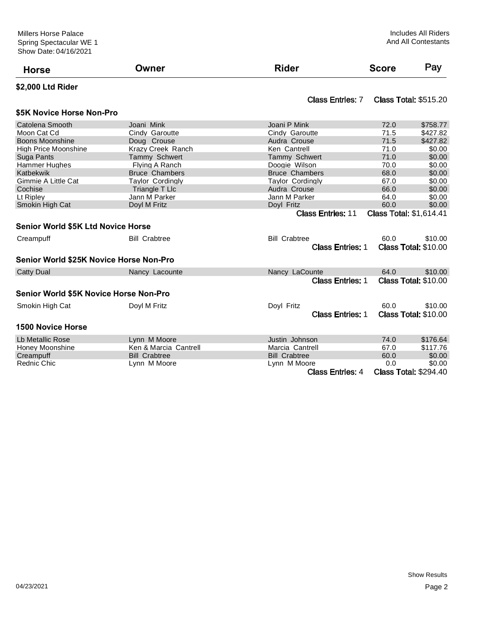| <b>Horse</b>                              | Owner                   | <b>Rider</b>             | <b>Score</b> | Pay                            |
|-------------------------------------------|-------------------------|--------------------------|--------------|--------------------------------|
| \$2,000 Ltd Rider                         |                         |                          |              |                                |
|                                           |                         | <b>Class Entries: 7</b>  |              | <b>Class Total: \$515.20</b>   |
| \$5K Novice Horse Non-Pro                 |                         |                          |              |                                |
| Catolena Smooth                           | Joani Mink              | Joani P Mink             | 72.0         | \$758.77                       |
| Moon Cat Cd                               | Cindy Garoutte          | Cindy Garoutte           | 71.5         | \$427.82                       |
| <b>Boons Moonshine</b>                    | Doug Crouse             | Audra Crouse             | 71.5         | \$427.82                       |
| <b>High Price Moonshine</b>               | Krazy Creek Ranch       | Ken Cantrell             | 71.0         | \$0.00                         |
| Suga Pants                                | <b>Tammy Schwert</b>    | Tammy Schwert            | 71.0         | \$0.00                         |
| <b>Hammer Hughes</b>                      | Flying A Ranch          | Doogie Wilson            | 70.0         | \$0.00                         |
| Katbekwik                                 | <b>Bruce Chambers</b>   | <b>Bruce Chambers</b>    | 68.0         | \$0.00                         |
| Gimmie A Little Cat                       | <b>Taylor Cordingly</b> | <b>Taylor Cordingly</b>  | 67.0         | \$0.00                         |
| Cochise                                   | Triangle T Llc          | Audra Crouse             | 66.0         | \$0.00                         |
| Lt Ripley                                 | Jann M Parker           | Jann M Parker            | 64.0         | \$0.00                         |
| Smokin High Cat                           | Doyl M Fritz            | Doyl Fritz               | 60.0         | \$0.00                         |
|                                           |                         | <b>Class Entries: 11</b> |              | <b>Class Total: \$1,614.41</b> |
| <b>Senior World \$5K Ltd Novice Horse</b> |                         |                          |              |                                |
| Creampuff                                 | <b>Bill Crabtree</b>    | <b>Bill Crabtree</b>     | 60.0         | \$10.00                        |
|                                           |                         | <b>Class Entries: 1</b>  |              | <b>Class Total: \$10.00</b>    |
| Senior World \$25K Novice Horse Non-Pro   |                         |                          |              |                                |
| <b>Catty Dual</b>                         | Nancy Lacounte          | Nancy LaCounte           | 64.0         | \$10.00                        |
|                                           |                         | <b>Class Entries: 1</b>  |              | <b>Class Total: \$10.00</b>    |
| Senior World \$5K Novice Horse Non-Pro    |                         |                          |              |                                |
| Smokin High Cat                           | Doyl M Fritz            | Doyl Fritz               | 60.0         | \$10.00                        |
|                                           |                         | <b>Class Entries: 1</b>  |              | <b>Class Total: \$10.00</b>    |
| <b>1500 Novice Horse</b>                  |                         |                          |              |                                |
| Lb Metallic Rose                          | Lynn M Moore            | Justin Johnson           | 74.0         | \$176.64                       |
| Honey Moonshine                           | Ken & Marcia Cantrell   | Marcia Cantrell          | 67.0         | \$117.76                       |
| Creampuff                                 | <b>Bill Crabtree</b>    | <b>Bill Crabtree</b>     | 60.0         | \$0.00                         |
| <b>Rednic Chic</b>                        | Lynn M Moore            | Lynn M Moore             | 0.0          | \$0.00                         |
|                                           |                         | <b>Class Entries: 4</b>  |              | <b>Class Total: \$294.40</b>   |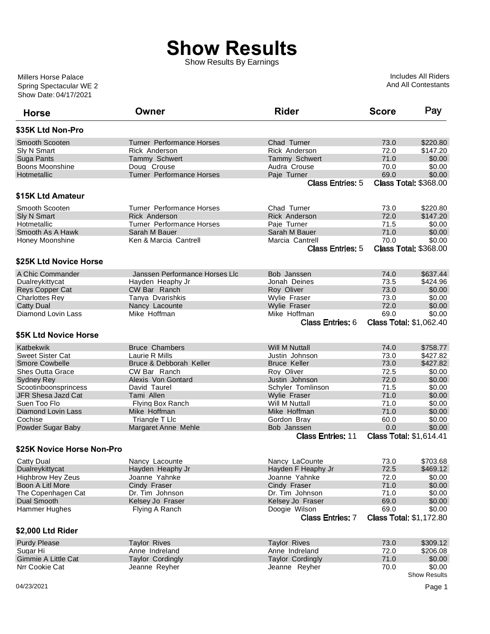## **Show Results**

Show Results By Earnings

Show Date: 04/17/2021 Spring Spectacular WE 2 Millers Horse Palace

Includes All Riders And All Contestants

| <b>Horse</b>               | Owner                            | <b>Rider</b>             | <b>Score</b> | Pay                            |
|----------------------------|----------------------------------|--------------------------|--------------|--------------------------------|
| \$35K Ltd Non-Pro          |                                  |                          |              |                                |
| <b>Smooth Scooten</b>      | <b>Turner Performance Horses</b> | Chad Turner              | 73.0         | \$220.80                       |
| Sly N Smart                | Rick Anderson                    | Rick Anderson            | 72.0         | \$147.20                       |
| Suga Pants                 | Tammy Schwert                    | Tammy Schwert            | 71.0         | \$0.00                         |
| Boons Moonshine            | Doug Crouse                      | Audra Crouse             | 70.0         | \$0.00                         |
| Hotmetallic                | <b>Turner Performance Horses</b> | Paje Turner              | 69.0         | \$0.00                         |
|                            |                                  | <b>Class Entries: 5</b>  |              | <b>Class Total: \$368.00</b>   |
| \$15K Ltd Amateur          |                                  |                          |              |                                |
| Smooth Scooten             | <b>Turner Performance Horses</b> | Chad Turner              | 73.0         | \$220.80                       |
| <b>Sly N Smart</b>         | <b>Rick Anderson</b>             | <b>Rick Anderson</b>     | 72.0         | \$147.20                       |
| Hotmetallic                | <b>Turner Performance Horses</b> | Paje Turner              | 71.5         | \$0.00                         |
| Smooth As A Hawk           | Sarah M Bauer                    | Sarah M Bauer            | 71.0         | \$0.00                         |
| Honey Moonshine            | Ken & Marcia Cantrell            | Marcia Cantrell          | 70.0         | \$0.00                         |
|                            |                                  | <b>Class Entries: 5</b>  |              | <b>Class Total: \$368.00</b>   |
| \$25K Ltd Novice Horse     |                                  |                          |              |                                |
| A Chic Commander           | Janssen Performance Horses LIc   | Bob Janssen              | 74.0         | \$637.44                       |
| Dualreykittycat            | Hayden Heaphy Jr                 | Jonah Deines             | 73.5         | \$424.96                       |
| Reys Copper Cat            | CW Bar Ranch                     | Roy Oliver               | 73.0         | \$0.00                         |
| <b>Charlottes Rev</b>      | Tanya Dvarishkis                 | Wylie Fraser             | 73.0         | \$0.00                         |
| <b>Catty Dual</b>          | Nancy Lacounte                   | Wylie Fraser             | 72.0         | \$0.00                         |
| Diamond Lovin Lass         | Mike Hoffman                     | Mike Hoffman             | 69.0         | \$0.00                         |
|                            |                                  | <b>Class Entries: 6</b>  |              | <b>Class Total: \$1,062.40</b> |
|                            |                                  |                          |              |                                |
| \$5K Ltd Novice Horse      |                                  |                          |              |                                |
| Katbekwik                  | <b>Bruce Chambers</b>            | <b>Will M Nuttall</b>    | 74.0         | \$758.77                       |
| <b>Sweet Sister Cat</b>    | Laurie R Mills                   | Justin Johnson           | 73.0         | \$427.82                       |
| <b>Smore Cowbelle</b>      | Bruce & Debborah Keller          | <b>Bruce Keller</b>      | 73.0         | \$427.82                       |
| Shes Outta Grace           | CW Bar Ranch                     | Roy Oliver               | 72.5         | \$0.00                         |
| <b>Sydney Rey</b>          | Alexis Von Gontard               | Justin Johnson           | 72.0         | \$0.00                         |
| Scootinboonsprincess       | David Taurel                     | Schyler Tomlinson        | 71.5         | \$0.00                         |
| JFR Shesa Jazd Cat         | Tami Allen                       | <b>Wylie Fraser</b>      | 71.0         | \$0.00                         |
| Suen Too Flo               | Flying Box Ranch                 | Will M Nuttall           | 71.0         | \$0.00                         |
| Diamond Lovin Lass         | Mike Hoffman                     | Mike Hoffman             | 71.0         | \$0.00                         |
| Cochise                    | Triangle T Llc                   | Gordon Bray              | 60.0         | \$0.00                         |
|                            |                                  | Bob Janssen              | 0.0          | \$0.00                         |
| Powder Sugar Baby          | Margaret Anne Mehle              | <b>Class Entries: 11</b> |              | <b>Class Total: \$1,614.41</b> |
| \$25K Novice Horse Non-Pro |                                  |                          |              |                                |
|                            |                                  |                          |              | \$703.68                       |
| Catty Dual                 | Nancy Lacounte                   | Nancy LaCounte           | 73.0         |                                |
| Dualreykittycat            | Hayden Heaphy Jr                 | Hayden F Heaphy Jr       | 72.5         | \$469.12                       |
| <b>Highbrow Hey Zeus</b>   | Joanne Yahnke                    | Joanne Yahnke            | 72.0         | \$0.00                         |
| Boon A Litl More           | Cindy Fraser                     | Cindy Fraser             | 71.0         | \$0.00                         |
| The Copenhagen Cat         | Dr. Tim Johnson                  | Dr. Tim Johnson          | 71.0         | \$0.00                         |
| Dual Smooth                | Kelsey Jo Fraser                 | Kelsey Jo Fraser         | 69.0         | \$0.00                         |
| Hammer Hughes              | Flying A Ranch                   | Doogie Wilson            | 69.0         | \$0.00                         |
|                            |                                  | <b>Class Entries: 7</b>  |              | <b>Class Total: \$1,172.80</b> |
| \$2,000 Ltd Rider          |                                  |                          |              |                                |
| <b>Purdy Please</b>        | <b>Taylor Rives</b>              | <b>Taylor Rives</b>      | 73.0         | \$309.12                       |
| Sugar Hi                   | Anne Indreland                   | Anne Indreland           | 72.0         | \$206.08                       |
| Gimmie A Little Cat        | <b>Taylor Cordingly</b>          | <b>Taylor Cordingly</b>  | 71.0         | \$0.00                         |
| Nrr Cookie Cat             | Jeanne Reyher                    | Jeanne Reyher            | 70.0         | \$0.00                         |
|                            |                                  |                          |              | <b>Show Results</b>            |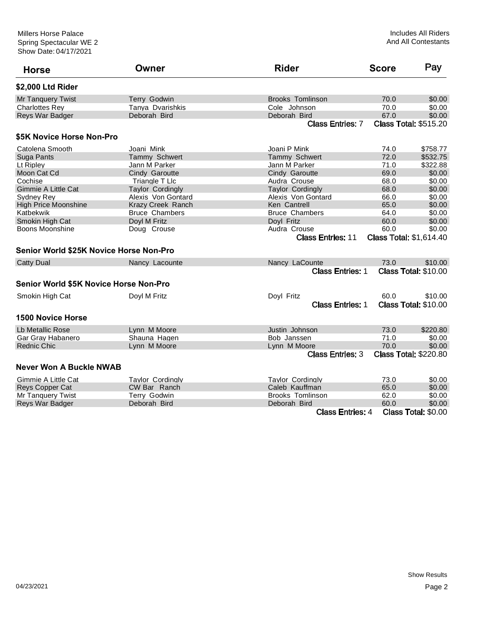| <b>Horse</b>                            | Owner                    | <b>Rider</b>             | <b>Score</b>                   | Pay                          |
|-----------------------------------------|--------------------------|--------------------------|--------------------------------|------------------------------|
| \$2,000 Ltd Rider                       |                          |                          |                                |                              |
| <b>Mr Tanguery Twist</b>                | Terry Godwin             | <b>Brooks Tomlinson</b>  | 70.0                           | \$0.00                       |
| <b>Charlottes Rev</b>                   | Tanva Dvarishkis         | Cole Johnson             | 70.0                           | \$0.00                       |
| Reys War Badger                         | Deborah Bird             | Deborah Bird             | 67.0                           | \$0.00                       |
|                                         |                          | <b>Class Entries: 7</b>  |                                | <b>Class Total: \$515.20</b> |
| \$5K Novice Horse Non-Pro               |                          |                          |                                |                              |
| Catolena Smooth                         | Joani Mink               | Joani P Mink             | 74.0                           | \$758.77                     |
| Suga Pants                              | Tammy Schwert            | <b>Tammy Schwert</b>     | 72.0                           | \$532.75                     |
| Lt Ripley                               | Jann M Parker            | Jann M Parker            | 71.0                           | \$322.88                     |
| Moon Cat Cd                             | Cindy Garoutte           | Cindy Garoutte           | 69.0                           | \$0.00                       |
| Cochise                                 | Triangle T Llc           | Audra Crouse             | 68.0                           | \$0.00                       |
| <b>Gimmie A Little Cat</b>              | <b>Taylor Cordingly</b>  | <b>Taylor Cordingly</b>  | 68.0                           | \$0.00                       |
| <b>Sydney Rev</b>                       | Alexis Von Gontard       | Alexis Von Gontard       | 66.0                           | \$0.00                       |
| <b>High Price Moonshine</b>             | <b>Krazy Creek Ranch</b> | Ken Cantrell             | 65.0                           | \$0.00                       |
| Katbekwik                               | <b>Bruce Chambers</b>    | <b>Bruce Chambers</b>    | 64.0                           | \$0.00                       |
| Smokin High Cat                         | Doyl M Fritz             | Doyl Fritz               | 60.0                           | \$0.00                       |
| Boons Moonshine                         | Doug Crouse              | Audra Crouse             | 60.0                           | \$0.00                       |
|                                         |                          | <b>Class Entries: 11</b> | <b>Class Total: \$1,614.40</b> |                              |
| Senior World \$25K Novice Horse Non-Pro |                          |                          |                                |                              |
| <b>Catty Dual</b>                       | Nancy Lacounte           | Nancy LaCounte           | 73.0                           | \$10.00                      |
|                                         |                          | <b>Class Entries: 1</b>  |                                | <b>Class Total: \$10.00</b>  |
| Senior World \$5K Novice Horse Non-Pro  |                          |                          |                                |                              |
| Smokin High Cat                         | Doyl M Fritz             | Doyl Fritz               | 60.0                           | \$10.00                      |
|                                         |                          | <b>Class Entries: 1</b>  |                                | Class Total: \$10.00         |
| <b>1500 Novice Horse</b>                |                          |                          |                                |                              |
| Lb Metallic Rose                        | Lynn M Moore             | Justin Johnson           | 73.0                           | \$220.80                     |
| Gar Gray Habanero                       | Shauna Hagen             | Bob Janssen              | 71.0                           | \$0.00                       |
| <b>Rednic Chic</b>                      | Lynn M Moore             | Lynn M Moore             | 70.0                           | \$0.00                       |
|                                         |                          | <b>Class Entries: 3</b>  |                                | <b>Class Total: \$220.80</b> |
| <b>Never Won A Buckle NWAB</b>          |                          |                          |                                |                              |
| Gimmie A Little Cat                     | <b>Taylor Cordingly</b>  | <b>Tavlor Cordinalv</b>  | 73.0                           | \$0.00                       |
| <b>Reys Copper Cat</b>                  | CW Bar Ranch             | Caleb Kauffman           | 65.0                           | \$0.00                       |
| Mr Tanquery Twist                       | Terry Godwin             | <b>Brooks Tomlinson</b>  | 62.0                           | \$0.00                       |
| Reys War Badger                         | Deborah Bird             | Deborah Bird             | 60.0                           | \$0.00                       |
|                                         |                          | <b>Class Entries: 4</b>  |                                | Class Total: \$0.00          |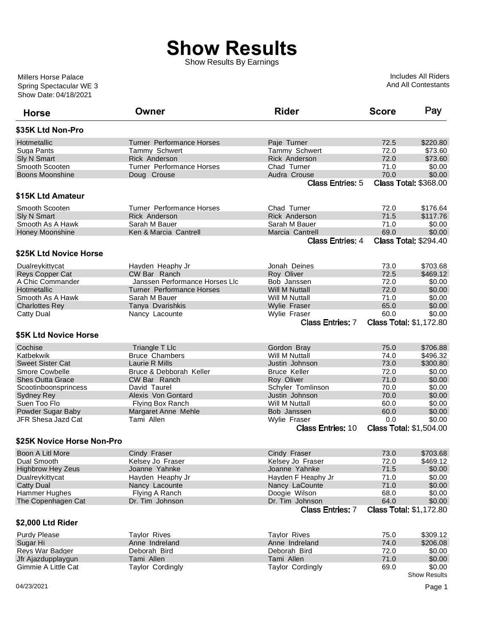## **Show Results**

Show Results By Earnings

Show Date: 04/18/2021 Spring Spectacular WE 3 Millers Horse Palace

Includes All Riders And All Contestants

| <b>Horse</b>               | Owner                            | <b>Rider</b>             | <b>Score</b> | Pay                            |
|----------------------------|----------------------------------|--------------------------|--------------|--------------------------------|
| \$35K Ltd Non-Pro          |                                  |                          |              |                                |
| Hotmetallic                | <b>Turner Performance Horses</b> | Paje Turner              | 72.5         | \$220.80                       |
| Suga Pants                 | Tammy Schwert                    | Tammy Schwert            | 72.0         | \$73.60                        |
| Sly N Smart                | <b>Rick Anderson</b>             | Rick Anderson            | 72.0         | \$73.60                        |
| Smooth Scooten             | Turner Performance Horses        | Chad Turner              | 71.0         | \$0.00                         |
| <b>Boons Moonshine</b>     | Doug Crouse                      | Audra Crouse             | 70.0         | \$0.00                         |
|                            |                                  | <b>Class Entries: 5</b>  |              | <b>Class Total: \$368.00</b>   |
| \$15K Ltd Amateur          |                                  |                          |              |                                |
| Smooth Scooten             | <b>Turner Performance Horses</b> | Chad Turner              | 72.0         | \$176.64                       |
| Sly N Smart                | <b>Rick Anderson</b>             | <b>Rick Anderson</b>     | 71.5         | \$117.76                       |
| Smooth As A Hawk           | Sarah M Bauer                    | Sarah M Bauer            | 71.0         | \$0.00                         |
| Honey Moonshine            | Ken & Marcia Cantrell            | Marcia Cantrell          | 69.0         | \$0.00                         |
|                            |                                  | <b>Class Entries: 4</b>  |              | <b>Class Total: \$294.40</b>   |
| \$25K Ltd Novice Horse     |                                  |                          |              |                                |
| Dualreykittycat            | Hayden Heaphy Jr                 | Jonah Deines             | 73.0         | \$703.68                       |
| Reys Copper Cat            | CW Bar Ranch                     | Roy Oliver               | 72.5         | \$469.12                       |
| A Chic Commander           | Janssen Performance Horses Llc   | Bob Janssen              | 72.0         | \$0.00                         |
| Hotmetallic                | <b>Turner Performance Horses</b> | <b>Will M Nuttall</b>    | 72.0         | \$0.00                         |
| Smooth As A Hawk           | Sarah M Bauer                    | Will M Nuttall           | 71.0         | \$0.00                         |
| <b>Charlottes Rey</b>      | Tanya Dvarishkis                 | Wylie Fraser             | 65.0         | \$0.00                         |
| <b>Catty Dual</b>          | Nancy Lacounte                   | Wylie Fraser             | 60.0         | \$0.00                         |
|                            |                                  | <b>Class Entries: 7</b>  |              | <b>Class Total: \$1,172.80</b> |
| \$5K Ltd Novice Horse      |                                  |                          |              |                                |
| Cochise                    | Triangle T Llc                   | Gordon Bray              | 75.0         | \$706.88                       |
| Katbekwik                  | <b>Bruce Chambers</b>            | Will M Nuttall           | 74.0         | \$496.32                       |
| <b>Sweet Sister Cat</b>    | Laurie R Mills                   | Justin Johnson           | 73.0         | \$300.80                       |
| Smore Cowbelle             | Bruce & Debborah Keller          | <b>Bruce Keller</b>      | 72.0         | \$0.00                         |
| <b>Shes Outta Grace</b>    | CW Bar Ranch                     | Roy Oliver               | 71.0         | \$0.00                         |
| Scootinboonsprincess       | David Taurel                     | Schyler Tomlinson        | 70.0         | \$0.00                         |
| <b>Sydney Rey</b>          | Alexis Von Gontard               | Justin Johnson           | 70.0         | \$0.00                         |
| Suen Too Flo               | <b>Flying Box Ranch</b>          | Will M Nuttall           | 60.0         | \$0.00                         |
| Powder Sugar Baby          | Margaret Anne Mehle              | Bob Janssen              | 60.0         | \$0.00                         |
| JFR Shesa Jazd Cat         | Tami Allen                       | Wylie Fraser             | 0.0          | \$0.00                         |
|                            |                                  | <b>Class Entries: 10</b> |              | <b>Class Total: \$1,504.00</b> |
| \$25K Novice Horse Non-Pro |                                  |                          |              |                                |
| Boon A Litl More           | Cindy Fraser                     | Cindy Fraser             | 73.0         | \$703.68                       |
| Dual Smooth                | Kelsey Jo Fraser                 | Kelsey Jo Fraser         | 72.0         | \$469.12                       |
| <b>Highbrow Hey Zeus</b>   | Joanne Yahnke                    | Joanne Yahnke            | 71.5         | \$0.00                         |
| Dualreykittycat            | Hayden Heaphy Jr                 | Hayden F Heaphy Jr       | 71.0         | \$0.00                         |
| <b>Catty Dual</b>          | Nancy Lacounte                   | Nancy LaCounte           | 71.0         | \$0.00                         |
| Hammer Hughes              | Flying A Ranch                   | Doogie Wilson            | 68.0         | \$0.00                         |
| The Copenhagen Cat         | Dr. Tim Johnson                  | Dr. Tim Johnson          | 64.0         | \$0.00                         |
|                            |                                  | <b>Class Entries: 7</b>  |              | <b>Class Total: \$1,172.80</b> |
| \$2,000 Ltd Rider          |                                  |                          |              |                                |
| <b>Purdy Please</b>        | <b>Taylor Rives</b>              | <b>Taylor Rives</b>      | 75.0         | \$309.12                       |
| Sugar Hi                   | Anne Indreland                   | Anne Indreland           | 74.0         | \$206.08                       |
| Reys War Badger            | Deborah Bird                     | Deborah Bird             | 72.0         | \$0.00                         |
| Jfr Ajazdupplaygun         | Tami Allen                       | Tami Allen               | 71.0         | \$0.00                         |
| Gimmie A Little Cat        | <b>Taylor Cordingly</b>          | <b>Taylor Cordingly</b>  | 69.0         | \$0.00                         |
|                            |                                  |                          |              | <b>Show Results</b>            |